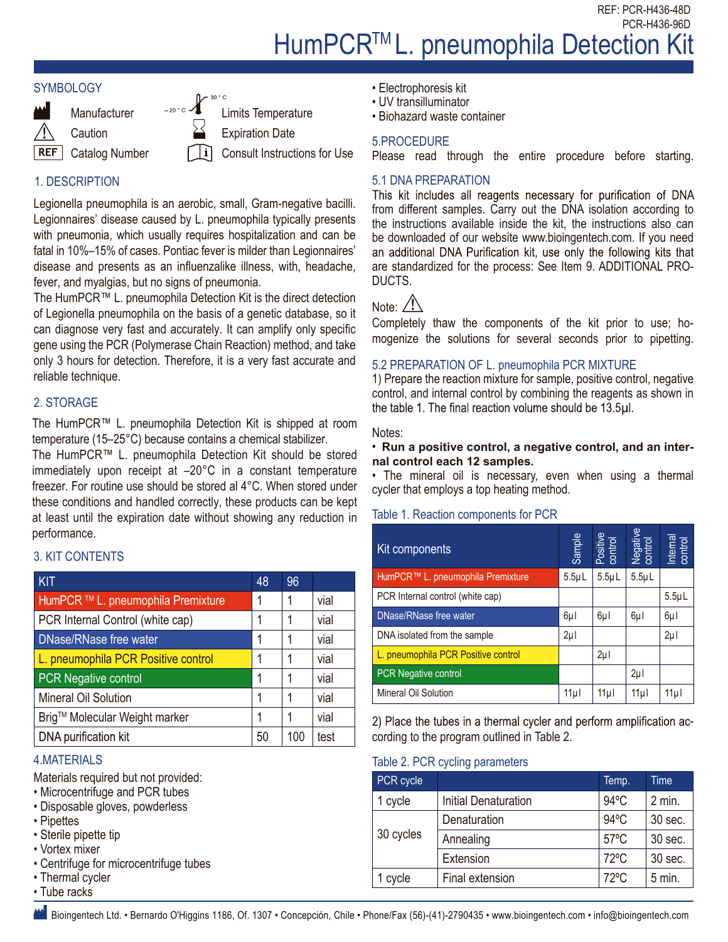REF: PCR-H436-48D PCR-H436-96D

# HumPCR<sup>™</sup>L. pneumophila Detection Kit





**Manufacturer** 

**Caution** 

**REF** Catalog Number Limits Temperature Expiration Date

 $\mathbb{R}$  30 ° C

Consult Instructions for Use

# 1. DESCRIPTION

Legionella pneumophila is an aerobic, small, Gram-negative bacilli. Legionnaires' disease caused by L. pneumophila typically presents with pneumonia, which usually requires hospitalization and can be fatal in 10%–15% of cases. Pontiac fever is milder than Legionnaires' disease and presents as an influenzalike illness, with, headache, fever, and myalgias, but no signs of pneumonia.

The HumPCR™ L. pneumophila Detection Kit is the direct detection of Legionella pneumophila on the basis of a genetic database, so it can diagnose very fast and accurately. It can amplify only specific gene using the PCR (Polymerase Chain Reaction) method, and take only 3 hours for detection. Therefore, it is a very fast accurate and reliable technique.

# 2. STORAGE

The HumPCR™ L. pneumophila Detection Kit is shipped at room temperature (15–25°C) because contains a chemical stabilizer.

The HumPCR™ L. pneumophila Detection Kit should be stored immediately upon receipt at –20°C in a constant temperature freezer. For routine use should be stored al 4°C. When stored under these conditions and handled correctly, these products can be kept at least until the expiration date without showing any reduction in performance.

# 3. KIT CONTENTS

| performance.                                                                                                                                                          |              |     |           |                                                                     |                                   |                |                     |                     |                     |
|-----------------------------------------------------------------------------------------------------------------------------------------------------------------------|--------------|-----|-----------|---------------------------------------------------------------------|-----------------------------------|----------------|---------------------|---------------------|---------------------|
| <b>3. KIT CONTENTS</b>                                                                                                                                                |              |     |           | Kit components                                                      |                                   | Sample         | Positive<br>control | Negative<br>control | Internal<br>control |
| KIT                                                                                                                                                                   | 48           | 96  |           |                                                                     | HumPCR™ L. pneumophila Premixture | $5.5 \mu L$    | $5.5 \mu L$         | $5.5 \mu L$         |                     |
| HumPCR <sup>™</sup> L. pneumophila Premixture                                                                                                                         | 1            |     | vial      | PCR Internal control (white cap)                                    |                                   |                |                     |                     | $5.5 \mu L$         |
| PCR Internal Control (white cap)                                                                                                                                      | 1            |     | vial      | DNase/RNase free water                                              |                                   | $6\mu$         | $6\mu$              | $6\mu$              | $6\mu$              |
| DNase/RNase free water                                                                                                                                                | $\mathbf{1}$ |     | vial      | DNA isolated from the sample                                        |                                   | $2\mu$         |                     |                     | $2\mu$              |
| L. pneumophila PCR Positive control                                                                                                                                   | 1            |     | vial      | L. pneumophila PCR Positive control                                 |                                   |                | $2\mu$              |                     |                     |
| <b>PCR Negative control</b>                                                                                                                                           | 1            |     | vial      |                                                                     | PCR Negative control              |                |                     | $2\mu$              |                     |
| Mineral Oil Solution                                                                                                                                                  | 1            |     | vial      |                                                                     | Mineral Oil Solution              |                | 11µ                 | 11µ                 | 11µl                |
| Brig™ Molecular Weight marker                                                                                                                                         | 1            |     | vial      | 2) Place the tubes in a thermal cycler and perform amplification ad |                                   |                |                     |                     |                     |
| DNA purification kit                                                                                                                                                  | 50           | 100 | test      | cording to the program outlined in Table 2.                         |                                   |                |                     |                     |                     |
| <b>4.MATERIALS</b>                                                                                                                                                    |              |     |           |                                                                     | Table 2. PCR cycling parameters   |                |                     |                     |                     |
| Materials required but not provided:                                                                                                                                  |              |     |           | PCR cycle                                                           |                                   |                | Temp.               |                     | Time                |
| • Microcentrifuge and PCR tubes<br>· Disposable gloves, powderless<br>• Pipettes<br>• Sterile pipette tip<br>• Vortex mixer<br>• Centrifuge for microcentrifuge tubes |              |     | 1 cycle   | <b>Initial Denaturation</b>                                         |                                   | $94^{\circ}$ C |                     | $2$ min.            |                     |
|                                                                                                                                                                       |              |     |           | Denaturation                                                        |                                   | $94^{\circ}$ C |                     | 30 sec.             |                     |
|                                                                                                                                                                       |              |     | 30 cycles | Annealing                                                           |                                   | 57°C           |                     | 30 sec.             |                     |
|                                                                                                                                                                       |              |     |           | Extension                                                           |                                   | 72°C           |                     | 30 sec.             |                     |
| • Thermal cycler                                                                                                                                                      |              |     |           | 1 cycle                                                             | Final extension                   |                | 72°C                |                     | $5$ min.            |
| • Tube racks                                                                                                                                                          |              |     |           |                                                                     |                                   |                |                     |                     |                     |
| Bioingentech Ltd. • Bernardo O'Higgins 1186, Of. 1307 • Concepción, Chile • Phone/Fax (56)-(41)-2790435 • www.bioingentech.com • info@bioingentech.com                |              |     |           |                                                                     |                                   |                |                     |                     |                     |

### 4.MATERIALS

- Microcentrifuge and PCR tubes
- Disposable gloves, powderless
- Pipettes
- Sterile pipette tip
- Vortex mixer
- Centrifuge for microcentrifuge tubes
- Thermal cycler • Tube racks
- 
- Electrophoresis kit
- UV transilluminator
- Biohazard waste container

#### 5.PROCEDURE

Please read through the entire procedure before starting.

#### 5.1 DNA PREPARATION

This kit includes all reagents necessary for purification of DNA from different samples. Carry out the DNA isolation according to the instructions available inside the kit, the instructions also can be downloaded of our website www.bioingentech.com. If you need an additional DNA Purification kit, use only the following kits that are standardized for the process: See Item 9. ADDITIONAL PRO-DUCTS.

# Note: / !

Completely thaw the components of the kit prior to use; homogenize the solutions for several seconds prior to pipetting.

#### 5.2 PREPARATION OF L. pneumophila PCR MIXTURE

1) Prepare the reaction mixture for sample, positive control, negative control, and internal control by combining the reagents as shown in the table 1. The final reaction volume should be 13.5µl.

#### Notes:

#### • **Run a positive control, a negative control, and an internal control each 12 samples.**

• The mineral oil is necessary, even when using a thermal cycler that employs a top heating method.

#### Table 1. Reaction components for PCR

| Kit components                      | Sample          | Positive<br>control | Negative<br>control | Internal<br>control |
|-------------------------------------|-----------------|---------------------|---------------------|---------------------|
| HumPCR™ L. pneumophila Premixture   | $5.5\mu L$      | $5.5 \mu L$         | $5.5 \mu L$         |                     |
| PCR Internal control (white cap)    |                 |                     |                     | $5.5 \mu L$         |
| <b>DNase/RNase free water</b>       | 6µl             | 6µl                 | 6µl                 | 6µl                 |
| DNA isolated from the sample        | $2\mu$          |                     |                     | $2\mu$              |
| L. pneumophila PCR Positive control |                 | $2\mu$              |                     |                     |
| <b>PCR Negative control</b>         |                 |                     | $2\mu$              |                     |
| Mineral Oil Solution                | 11 <sub>µ</sub> | 11µ l               | 11µ                 | 11 <sub>µ</sub>     |

#### Table 2. PCR cycling parameters

| PCR cycle |                             | Temp.          | Time     |
|-----------|-----------------------------|----------------|----------|
| 1 cycle   | <b>Initial Denaturation</b> | $94^{\circ}$ C | $2$ min. |
| 30 cycles | Denaturation                | $94^{\circ}$ C | 30 sec.  |
|           | Annealing                   | $57^{\circ}$ C | 30 sec.  |
|           | Extension                   | $72^{\circ}$ C | 30 sec.  |
| 1 cycle   | Final extension             | $72^{\circ}$ C | $5$ min. |